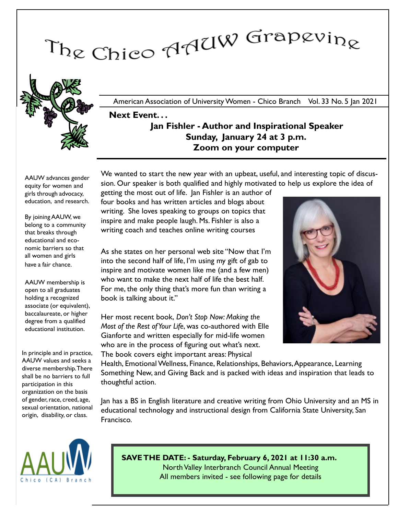# The Chico AAUW Grapevine



American Association of University Women - Chico Branch Vol. 33 No. 5 Jan 2021

# Next Event. . . Jan Fishler - Author and Inspirational Speaker Sunday, January 24 at 3 p.m. Zoom on your computer

We wanted to start the new year with an upbeat, useful, and interesting topic of discus-

AAUW advances gender equity for women and girls through advocacy, education, and research.

By joining AAUW, we belong to a community that breaks through educational and economic barriers so that all women and girls have a fair chance.

AAUW membership is open to all graduates holding a recognized associate (or equivalent), baccalaureate, or higher degree from a qualified educational institution.

In principle and in practice, AAUW values and seeks a diverse membership. There shall be no barriers to full participation in this organization on the basis of gender, race, creed, age, sexual orientation, national origin, disability, or class.

sion. Our speaker is both qualified and highly motivated to help us explore the idea of getting the most out of life. Jan Fishler is an author of four books and has written articles and blogs about writing. She loves speaking to groups on topics that inspire and make people laugh. Ms. Fishler is also a

As she states on her personal web site "Now that I'm into the second half of life, I'm using my gift of gab to inspire and motivate women like me (and a few men) who want to make the next half of life the best half. For me, the only thing that's more fun than writing a book is talking about it."

writing coach and teaches online writing courses

Her most recent book, Don't Stop Now: Making the Most of the Rest of Your Life, was co-authored with Elle Gianforte and written especially for mid-life women who are in the process of figuring out what's next. The book covers eight important areas: Physical

Health, Emotional Wellness, Finance, Relationships, Behaviors,Appearance, Learning Something New, and Giving Back and is packed with ideas and inspiration that leads to thoughtful action.

Jan has a BS in English literature and creative writing from Ohio University and an MS in educational technology and instructional design from California State University, San Francisco.



SAVE THE DATE: - Saturday, February 6, 2021 at 11:30 a.m. North Valley Interbranch Council Annual Meeting All members invited - see following page for details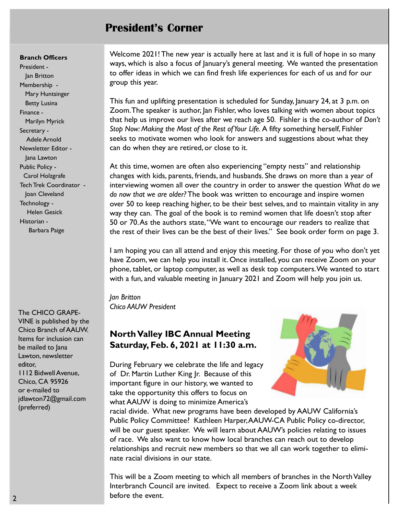# President's Corner

### Branch Officers

President - Jan Britton Membership - Mary Huntsinger Betty Lusina Finance - Marilyn Myrick Secretary - Adele Arnold Newsletter Editor - Jana Lawton Public Policy - Carol Holzgrafe Tech Trek Coordinator - Joan Cleveland Technology - Helen Gesick Historian - Barbara Paige

The CHICO GRAPE-VINE is published by the Chico Branch of AAUW. Items for inclusion can be mailed to Jana Lawton, newsletter editor, 1112 Bidwell Avenue, Chico, CA 95926 or e-mailed to jdlawton72@gmail.com (preferred)

Welcome 2021! The new year is actually here at last and it is full of hope in so many ways, which is also a focus of January's general meeting. We wanted the presentation to offer ideas in which we can find fresh life experiences for each of us and for our group this year.

This fun and uplifting presentation is scheduled for Sunday, January 24, at 3 p.m. on Zoom.The speaker is author, Jan Fishler, who loves talking with women about topics that help us improve our lives after we reach age 50. Fishler is the co-author of Don't Stop Now: Making the Most of the Rest of Your Life. A fifty something herself, Fishler seeks to motivate women who look for answers and suggestions about what they can do when they are retired, or close to it.

At this time, women are often also experiencing "empty nests" and relationship changes with kids, parents, friends, and husbands. She draws on more than a year of interviewing women all over the country in order to answer the question What do we do now that we are older? The book was written to encourage and inspire women over 50 to keep reaching higher, to be their best selves, and to maintain vitality in any way they can. The goal of the book is to remind women that life doesn't stop after 50 or 70.As the authors state, "We want to encourage our readers to realize that the rest of their lives can be the best of their lives." See book order form on page 3.

I am hoping you can all attend and enjoy this meeting. For those of you who don't yet have Zoom, we can help you install it. Once installed, you can receive Zoom on your phone, tablet, or laptop computer, as well as desk top computers. We wanted to start with a fun, and valuable meeting in January 2021 and Zoom will help you join us.

Jan Britton Chico AAUW President

# North Valley IBC Annual Meeting Saturday, Feb. 6, 2021 at 11:30 a.m.

During February we celebrate the life and legacy of Dr. Martin Luther King Jr. Because of this important figure in our history, we wanted to take the opportunity this offers to focus on what AAUW is doing to minimize America's



racial divide. What new programs have been developed by AAUW California's Public Policy Committee? Kathleen Harper, AAUW-CA Public Policy co-director, will be our guest speaker. We will learn about AAUW's policies relating to issues of race. We also want to know how local branches can reach out to develop relationships and recruit new members so that we all can work together to eliminate racial divisions in our state.

This will be a Zoom meeting to which all members of branches in the North Valley Interbranch Council are invited. Expect to receive a Zoom link about a week before the event.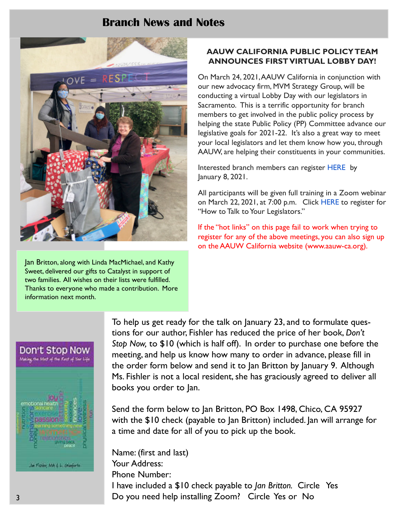# Branch News and Notes



Jan Britton, along with Linda MacMichael, and Kathy Sweet, delivered our gifts to Catalyst in support of two families. All wishes on their lists were fulfilled. Thanks to everyone who made a contribution. More information next month.

## AAUW CALIFORNIA PUBLIC POLICY TEAM ANNOUNCES FIRST VIRTUAL LOBBY DAY!

On March 24, 2021,AAUW California in conjunction with our new advocacy firm, MVM Strategy Group, will be conducting a virtual Lobby Day with our legislators in Sacramento. This is a terrific opportunity for branch members to get involved in the public policy process by helping the state Public Policy (PP) Committee advance our legislative goals for 2021-22. It's also a great way to meet your local legislators and let them know how you, through AAUW, are helping their constituents in your communities.

Interested branch members can register HERE by January 8, 2021.

All participants will be given full training in a Zoom webinar on March 22, 2021, at 7:00 p.m. Click HERE to register for "How to Talk to Your Legislators."

If the "hot links" on this page fail to work when trying to register for any of the above meetings, you can also sign up on the AAUW California website (www.aauw-ca.org).



To help us get ready for the talk on January 23, and to formulate questions for our author, Fishler has reduced the price of her book, Don't Stop Now, to \$10 (which is half off). In order to purchase one before the meeting, and help us know how many to order in advance, please fill in the order form below and send it to Jan Britton by January 9. Although Ms. Fishler is not a local resident, she has graciously agreed to deliver all books you order to Jan.

Send the form below to Jan Britton, PO Box 1498, Chico, CA 95927 with the \$10 check (payable to Jan Britton) included. Jan will arrange for a time and date for all of you to pick up the book.

Name: (first and last) Your Address: Phone Number: I have included a \$10 check payable to Jan Britton. Circle Yes Do you need help installing Zoom? Circle Yes or No